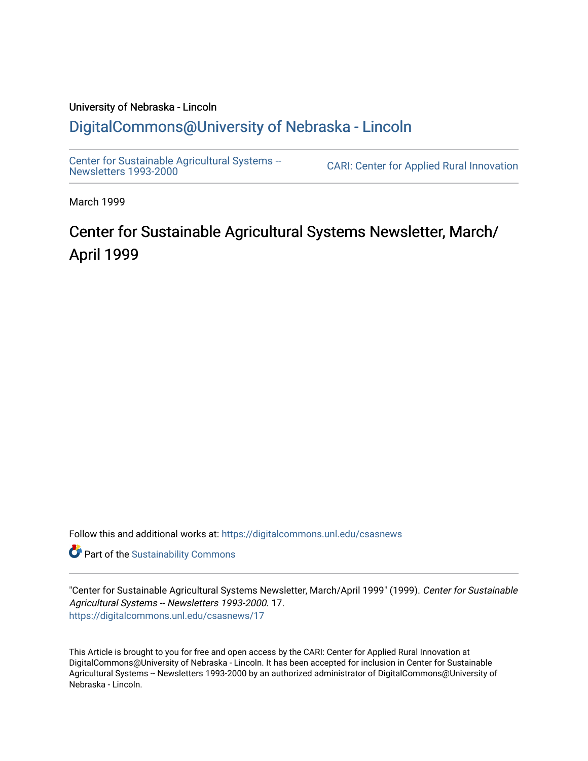#### University of Nebraska - Lincoln [DigitalCommons@University of Nebraska - Lincoln](https://digitalcommons.unl.edu/)

[Center for Sustainable Agricultural Systems --](https://digitalcommons.unl.edu/csasnews)<br>Newsletters 1993-2000

CARI: Center for Applied Rural Innovation

March 1999

## Center for Sustainable Agricultural Systems Newsletter, March/ April 1999

Follow this and additional works at: [https://digitalcommons.unl.edu/csasnews](https://digitalcommons.unl.edu/csasnews?utm_source=digitalcommons.unl.edu%2Fcsasnews%2F17&utm_medium=PDF&utm_campaign=PDFCoverPages) 

**Part of the [Sustainability Commons](http://network.bepress.com/hgg/discipline/1031?utm_source=digitalcommons.unl.edu%2Fcsasnews%2F17&utm_medium=PDF&utm_campaign=PDFCoverPages)** 

"Center for Sustainable Agricultural Systems Newsletter, March/April 1999" (1999). Center for Sustainable Agricultural Systems -- Newsletters 1993-2000. 17. [https://digitalcommons.unl.edu/csasnews/17](https://digitalcommons.unl.edu/csasnews/17?utm_source=digitalcommons.unl.edu%2Fcsasnews%2F17&utm_medium=PDF&utm_campaign=PDFCoverPages) 

This Article is brought to you for free and open access by the CARI: Center for Applied Rural Innovation at DigitalCommons@University of Nebraska - Lincoln. It has been accepted for inclusion in Center for Sustainable Agricultural Systems -- Newsletters 1993-2000 by an authorized administrator of DigitalCommons@University of Nebraska - Lincoln.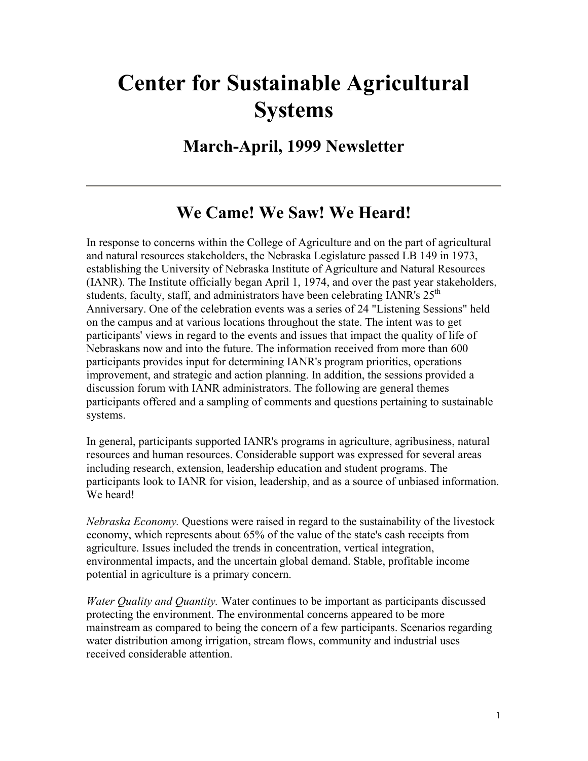## **Center for Sustainable Agricultural Systems**

### **March-April, 1999 Newsletter**

## **We Came! We Saw! We Heard!**

In response to concerns within the College of Agriculture and on the part of agricultural and natural resources stakeholders, the Nebraska Legislature passed LB 149 in 1973, establishing the University of Nebraska Institute of Agriculture and Natural Resources (IANR). The Institute officially began April 1, 1974, and over the past year stakeholders, students, faculty, staff, and administrators have been celebrating IANR's  $25<sup>th</sup>$ Anniversary. One of the celebration events was a series of 24 "Listening Sessions" held on the campus and at various locations throughout the state. The intent was to get participants' views in regard to the events and issues that impact the quality of life of Nebraskans now and into the future. The information received from more than 600 participants provides input for determining IANR's program priorities, operations improvement, and strategic and action planning. In addition, the sessions provided a discussion forum with IANR administrators. The following are general themes participants offered and a sampling of comments and questions pertaining to sustainable systems.

In general, participants supported IANR's programs in agriculture, agribusiness, natural resources and human resources. Considerable support was expressed for several areas including research, extension, leadership education and student programs. The participants look to IANR for vision, leadership, and as a source of unbiased information. We heard!

*Nebraska Economy.* Questions were raised in regard to the sustainability of the livestock economy, which represents about 65% of the value of the state's cash receipts from agriculture. Issues included the trends in concentration, vertical integration, environmental impacts, and the uncertain global demand. Stable, profitable income potential in agriculture is a primary concern.

*Water Quality and Quantity.* Water continues to be important as participants discussed protecting the environment. The environmental concerns appeared to be more mainstream as compared to being the concern of a few participants. Scenarios regarding water distribution among irrigation, stream flows, community and industrial uses received considerable attention.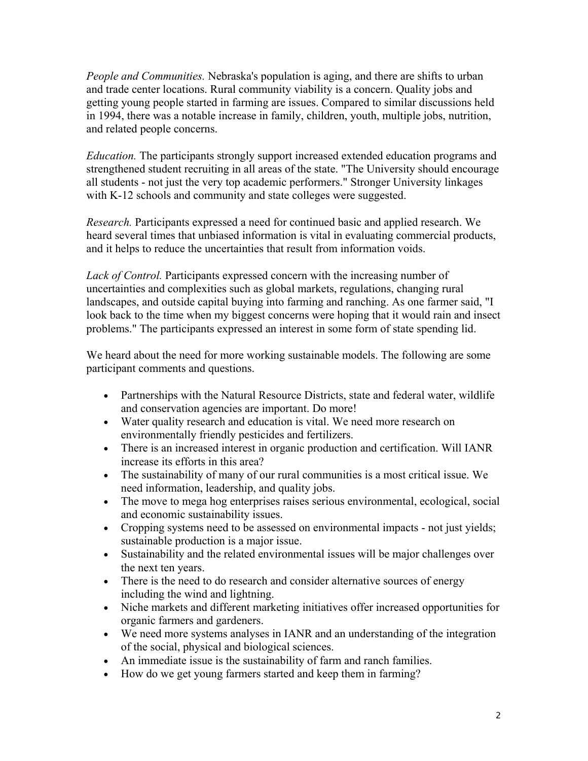*People and Communities.* Nebraska's population is aging, and there are shifts to urban and trade center locations. Rural community viability is a concern. Quality jobs and getting young people started in farming are issues. Compared to similar discussions held in 1994, there was a notable increase in family, children, youth, multiple jobs, nutrition, and related people concerns.

*Education.* The participants strongly support increased extended education programs and strengthened student recruiting in all areas of the state. "The University should encourage all students - not just the very top academic performers." Stronger University linkages with K-12 schools and community and state colleges were suggested.

*Research.* Participants expressed a need for continued basic and applied research. We heard several times that unbiased information is vital in evaluating commercial products, and it helps to reduce the uncertainties that result from information voids.

*Lack of Control.* Participants expressed concern with the increasing number of uncertainties and complexities such as global markets, regulations, changing rural landscapes, and outside capital buying into farming and ranching. As one farmer said, "I look back to the time when my biggest concerns were hoping that it would rain and insect problems." The participants expressed an interest in some form of state spending lid.

We heard about the need for more working sustainable models. The following are some participant comments and questions.

- Partnerships with the Natural Resource Districts, state and federal water, wildlife and conservation agencies are important. Do more!
- Water quality research and education is vital. We need more research on environmentally friendly pesticides and fertilizers.
- There is an increased interest in organic production and certification. Will IANR increase its efforts in this area?
- The sustainability of many of our rural communities is a most critical issue. We need information, leadership, and quality jobs.
- The move to mega hog enterprises raises serious environmental, ecological, social and economic sustainability issues.
- Cropping systems need to be assessed on environmental impacts not just yields; sustainable production is a major issue.
- Sustainability and the related environmental issues will be major challenges over the next ten years.
- There is the need to do research and consider alternative sources of energy including the wind and lightning.
- Niche markets and different marketing initiatives offer increased opportunities for organic farmers and gardeners.
- We need more systems analyses in IANR and an understanding of the integration of the social, physical and biological sciences.
- An immediate issue is the sustainability of farm and ranch families.
- How do we get young farmers started and keep them in farming?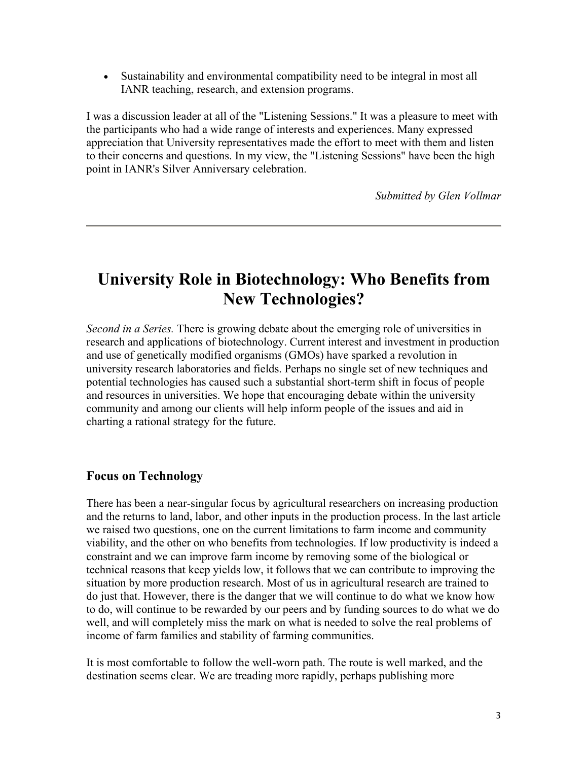• Sustainability and environmental compatibility need to be integral in most all IANR teaching, research, and extension programs.

I was a discussion leader at all of the "Listening Sessions." It was a pleasure to meet with the participants who had a wide range of interests and experiences. Many expressed appreciation that University representatives made the effort to meet with them and listen to their concerns and questions. In my view, the "Listening Sessions" have been the high point in IANR's Silver Anniversary celebration.

*Submitted by Glen Vollmar*

## **University Role in Biotechnology: Who Benefits from New Technologies?**

*Second in a Series.* There is growing debate about the emerging role of universities in research and applications of biotechnology. Current interest and investment in production and use of genetically modified organisms (GMOs) have sparked a revolution in university research laboratories and fields. Perhaps no single set of new techniques and potential technologies has caused such a substantial short-term shift in focus of people and resources in universities. We hope that encouraging debate within the university community and among our clients will help inform people of the issues and aid in charting a rational strategy for the future.

#### **Focus on Technology**

There has been a near-singular focus by agricultural researchers on increasing production and the returns to land, labor, and other inputs in the production process. In the last article we raised two questions, one on the current limitations to farm income and community viability, and the other on who benefits from technologies. If low productivity is indeed a constraint and we can improve farm income by removing some of the biological or technical reasons that keep yields low, it follows that we can contribute to improving the situation by more production research. Most of us in agricultural research are trained to do just that. However, there is the danger that we will continue to do what we know how to do, will continue to be rewarded by our peers and by funding sources to do what we do well, and will completely miss the mark on what is needed to solve the real problems of income of farm families and stability of farming communities.

It is most comfortable to follow the well-worn path. The route is well marked, and the destination seems clear. We are treading more rapidly, perhaps publishing more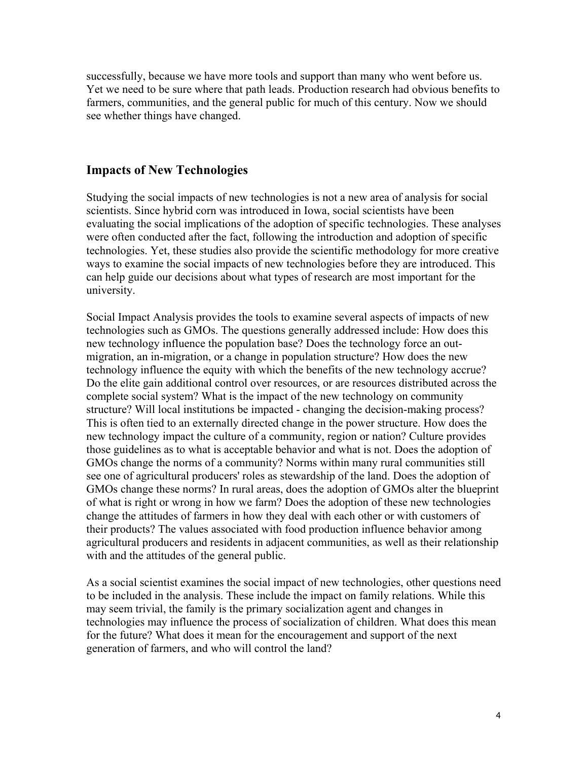successfully, because we have more tools and support than many who went before us. Yet we need to be sure where that path leads. Production research had obvious benefits to farmers, communities, and the general public for much of this century. Now we should see whether things have changed.

#### **Impacts of New Technologies**

Studying the social impacts of new technologies is not a new area of analysis for social scientists. Since hybrid corn was introduced in Iowa, social scientists have been evaluating the social implications of the adoption of specific technologies. These analyses were often conducted after the fact, following the introduction and adoption of specific technologies. Yet, these studies also provide the scientific methodology for more creative ways to examine the social impacts of new technologies before they are introduced. This can help guide our decisions about what types of research are most important for the university.

Social Impact Analysis provides the tools to examine several aspects of impacts of new technologies such as GMOs. The questions generally addressed include: How does this new technology influence the population base? Does the technology force an outmigration, an in-migration, or a change in population structure? How does the new technology influence the equity with which the benefits of the new technology accrue? Do the elite gain additional control over resources, or are resources distributed across the complete social system? What is the impact of the new technology on community structure? Will local institutions be impacted - changing the decision-making process? This is often tied to an externally directed change in the power structure. How does the new technology impact the culture of a community, region or nation? Culture provides those guidelines as to what is acceptable behavior and what is not. Does the adoption of GMOs change the norms of a community? Norms within many rural communities still see one of agricultural producers' roles as stewardship of the land. Does the adoption of GMOs change these norms? In rural areas, does the adoption of GMOs alter the blueprint of what is right or wrong in how we farm? Does the adoption of these new technologies change the attitudes of farmers in how they deal with each other or with customers of their products? The values associated with food production influence behavior among agricultural producers and residents in adjacent communities, as well as their relationship with and the attitudes of the general public.

As a social scientist examines the social impact of new technologies, other questions need to be included in the analysis. These include the impact on family relations. While this may seem trivial, the family is the primary socialization agent and changes in technologies may influence the process of socialization of children. What does this mean for the future? What does it mean for the encouragement and support of the next generation of farmers, and who will control the land?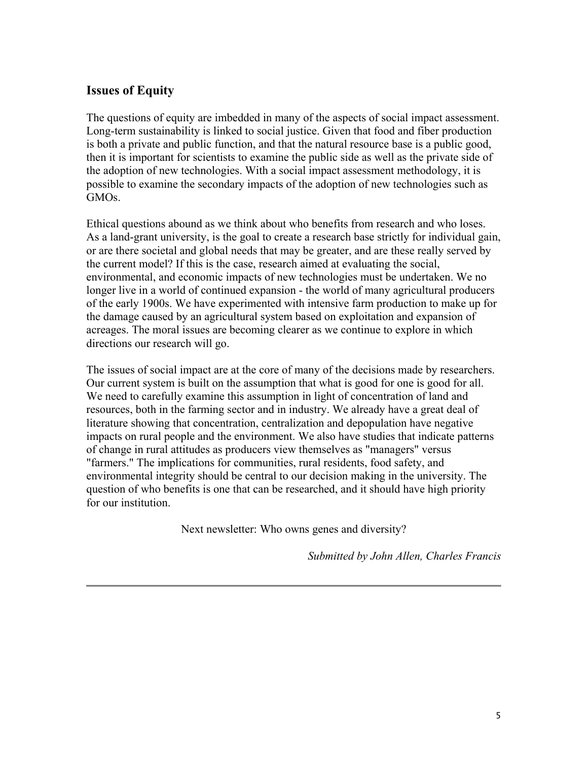#### **Issues of Equity**

The questions of equity are imbedded in many of the aspects of social impact assessment. Long-term sustainability is linked to social justice. Given that food and fiber production is both a private and public function, and that the natural resource base is a public good, then it is important for scientists to examine the public side as well as the private side of the adoption of new technologies. With a social impact assessment methodology, it is possible to examine the secondary impacts of the adoption of new technologies such as GMOs.

Ethical questions abound as we think about who benefits from research and who loses. As a land-grant university, is the goal to create a research base strictly for individual gain, or are there societal and global needs that may be greater, and are these really served by the current model? If this is the case, research aimed at evaluating the social, environmental, and economic impacts of new technologies must be undertaken. We no longer live in a world of continued expansion - the world of many agricultural producers of the early 1900s. We have experimented with intensive farm production to make up for the damage caused by an agricultural system based on exploitation and expansion of acreages. The moral issues are becoming clearer as we continue to explore in which directions our research will go.

The issues of social impact are at the core of many of the decisions made by researchers. Our current system is built on the assumption that what is good for one is good for all. We need to carefully examine this assumption in light of concentration of land and resources, both in the farming sector and in industry. We already have a great deal of literature showing that concentration, centralization and depopulation have negative impacts on rural people and the environment. We also have studies that indicate patterns of change in rural attitudes as producers view themselves as "managers" versus "farmers." The implications for communities, rural residents, food safety, and environmental integrity should be central to our decision making in the university. The question of who benefits is one that can be researched, and it should have high priority for our institution.

Next newsletter: Who owns genes and diversity?

*Submitted by John Allen, Charles Francis*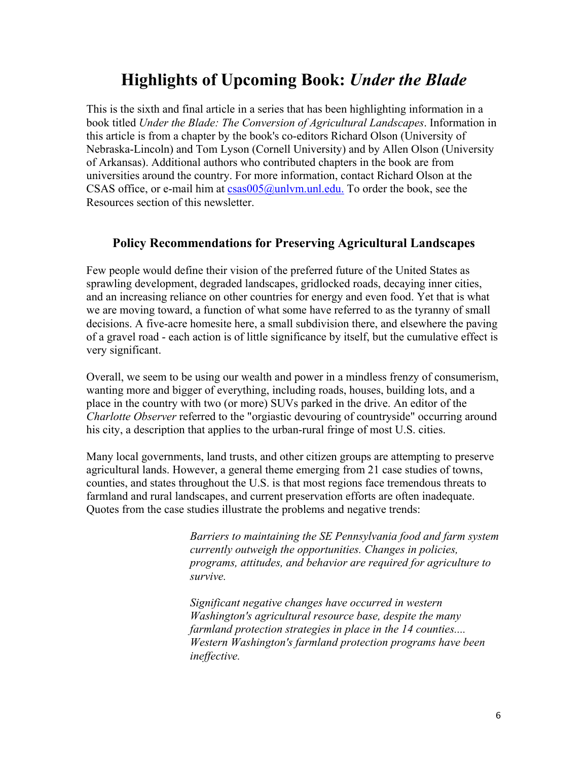## **Highlights of Upcoming Book:** *Under the Blade*

This is the sixth and final article in a series that has been highlighting information in a book titled *Under the Blade: The Conversion of Agricultural Landscapes*. Information in this article is from a chapter by the book's co-editors Richard Olson (University of Nebraska-Lincoln) and Tom Lyson (Cornell University) and by Allen Olson (University of Arkansas). Additional authors who contributed chapters in the book are from universities around the country. For more information, contact Richard Olson at the CSAS office, or e-mail him at  $csas005@unlvm.$  unl.edu. To order the book, see the Resources section of this newsletter.

#### **Policy Recommendations for Preserving Agricultural Landscapes**

Few people would define their vision of the preferred future of the United States as sprawling development, degraded landscapes, gridlocked roads, decaying inner cities, and an increasing reliance on other countries for energy and even food. Yet that is what we are moving toward, a function of what some have referred to as the tyranny of small decisions. A five-acre homesite here, a small subdivision there, and elsewhere the paving of a gravel road - each action is of little significance by itself, but the cumulative effect is very significant.

Overall, we seem to be using our wealth and power in a mindless frenzy of consumerism, wanting more and bigger of everything, including roads, houses, building lots, and a place in the country with two (or more) SUVs parked in the drive. An editor of the *Charlotte Observer* referred to the "orgiastic devouring of countryside" occurring around his city, a description that applies to the urban-rural fringe of most U.S. cities.

Many local governments, land trusts, and other citizen groups are attempting to preserve agricultural lands. However, a general theme emerging from 21 case studies of towns, counties, and states throughout the U.S. is that most regions face tremendous threats to farmland and rural landscapes, and current preservation efforts are often inadequate. Quotes from the case studies illustrate the problems and negative trends:

> *Barriers to maintaining the SE Pennsylvania food and farm system currently outweigh the opportunities. Changes in policies, programs, attitudes, and behavior are required for agriculture to survive.*

*Significant negative changes have occurred in western Washington's agricultural resource base, despite the many farmland protection strategies in place in the 14 counties.... Western Washington's farmland protection programs have been ineffective.*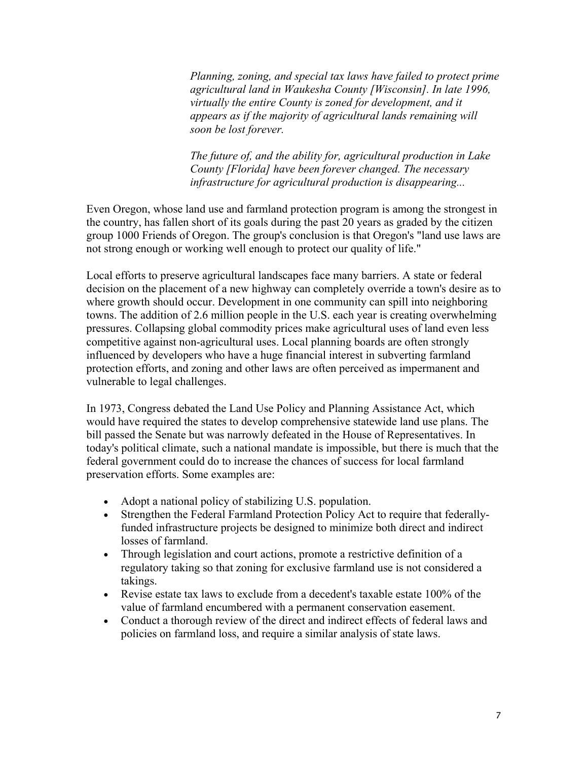*Planning, zoning, and special tax laws have failed to protect prime agricultural land in Waukesha County [Wisconsin]. In late 1996, virtually the entire County is zoned for development, and it appears as if the majority of agricultural lands remaining will soon be lost forever.*

*The future of, and the ability for, agricultural production in Lake County [Florida] have been forever changed. The necessary infrastructure for agricultural production is disappearing...*

Even Oregon, whose land use and farmland protection program is among the strongest in the country, has fallen short of its goals during the past 20 years as graded by the citizen group 1000 Friends of Oregon. The group's conclusion is that Oregon's "land use laws are not strong enough or working well enough to protect our quality of life."

Local efforts to preserve agricultural landscapes face many barriers. A state or federal decision on the placement of a new highway can completely override a town's desire as to where growth should occur. Development in one community can spill into neighboring towns. The addition of 2.6 million people in the U.S. each year is creating overwhelming pressures. Collapsing global commodity prices make agricultural uses of land even less competitive against non-agricultural uses. Local planning boards are often strongly influenced by developers who have a huge financial interest in subverting farmland protection efforts, and zoning and other laws are often perceived as impermanent and vulnerable to legal challenges.

In 1973, Congress debated the Land Use Policy and Planning Assistance Act, which would have required the states to develop comprehensive statewide land use plans. The bill passed the Senate but was narrowly defeated in the House of Representatives. In today's political climate, such a national mandate is impossible, but there is much that the federal government could do to increase the chances of success for local farmland preservation efforts. Some examples are:

- Adopt a national policy of stabilizing U.S. population.
- Strengthen the Federal Farmland Protection Policy Act to require that federallyfunded infrastructure projects be designed to minimize both direct and indirect losses of farmland.
- Through legislation and court actions, promote a restrictive definition of a regulatory taking so that zoning for exclusive farmland use is not considered a takings.
- Revise estate tax laws to exclude from a decedent's taxable estate 100% of the value of farmland encumbered with a permanent conservation easement.
- Conduct a thorough review of the direct and indirect effects of federal laws and policies on farmland loss, and require a similar analysis of state laws.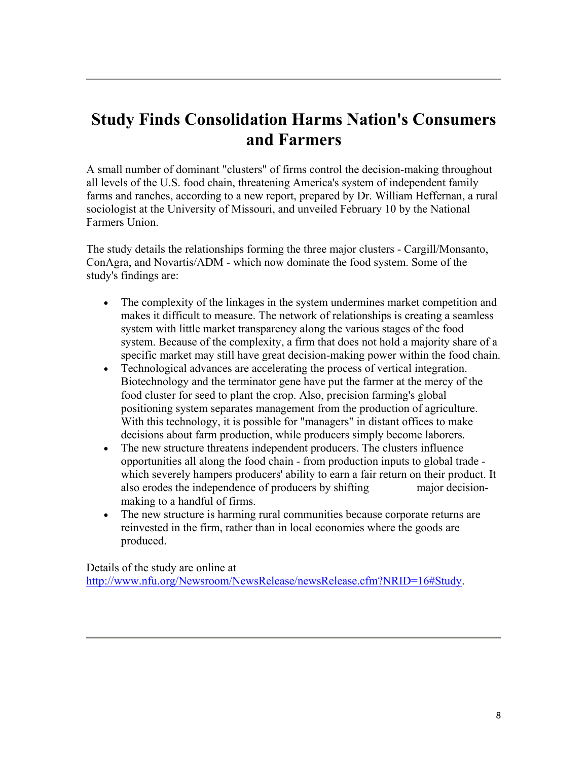## **Study Finds Consolidation Harms Nation's Consumers and Farmers**

A small number of dominant "clusters" of firms control the decision-making throughout all levels of the U.S. food chain, threatening America's system of independent family farms and ranches, according to a new report, prepared by Dr. William Heffernan, a rural sociologist at the University of Missouri, and unveiled February 10 by the National Farmers Union.

The study details the relationships forming the three major clusters - Cargill/Monsanto, ConAgra, and Novartis/ADM - which now dominate the food system. Some of the study's findings are:

- The complexity of the linkages in the system undermines market competition and makes it difficult to measure. The network of relationships is creating a seamless system with little market transparency along the various stages of the food system. Because of the complexity, a firm that does not hold a majority share of a specific market may still have great decision-making power within the food chain.
- Technological advances are accelerating the process of vertical integration. Biotechnology and the terminator gene have put the farmer at the mercy of the food cluster for seed to plant the crop. Also, precision farming's global positioning system separates management from the production of agriculture. With this technology, it is possible for "managers" in distant offices to make decisions about farm production, while producers simply become laborers.
- The new structure threatens independent producers. The clusters influence opportunities all along the food chain - from production inputs to global trade which severely hampers producers' ability to earn a fair return on their product. It also erodes the independence of producers by shifting major decisionmaking to a handful of firms.
- The new structure is harming rural communities because corporate returns are reinvested in the firm, rather than in local economies where the goods are produced.

Details of the study are online at http://www.nfu.org/Newsroom/NewsRelease/newsRelease.cfm?NRID=16#Study.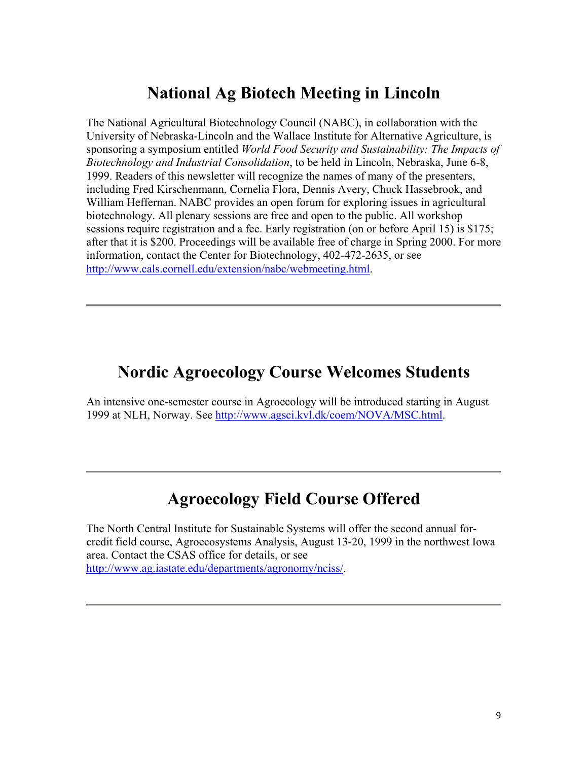## **National Ag Biotech Meeting in Lincoln**

The National Agricultural Biotechnology Council (NABC), in collaboration with the University of Nebraska-Lincoln and the Wallace Institute for Alternative Agriculture, is sponsoring a symposium entitled *World Food Security and Sustainability: The Impacts of Biotechnology and Industrial Consolidation*, to be held in Lincoln, Nebraska, June 6-8, 1999. Readers of this newsletter will recognize the names of many of the presenters, including Fred Kirschenmann, Cornelia Flora, Dennis Avery, Chuck Hassebrook, and William Heffernan. NABC provides an open forum for exploring issues in agricultural biotechnology. All plenary sessions are free and open to the public. All workshop sessions require registration and a fee. Early registration (on or before April 15) is \$175; after that it is \$200. Proceedings will be available free of charge in Spring 2000. For more information, contact the Center for Biotechnology, 402-472-2635, or see http://www.cals.cornell.edu/extension/nabc/webmeeting.html.

## **Nordic Agroecology Course Welcomes Students**

An intensive one-semester course in Agroecology will be introduced starting in August 1999 at NLH, Norway. See http://www.agsci.kvl.dk/coem/NOVA/MSC.html.

## **Agroecology Field Course Offered**

The North Central Institute for Sustainable Systems will offer the second annual forcredit field course, Agroecosystems Analysis, August 13-20, 1999 in the northwest Iowa area. Contact the CSAS office for details, or see http://www.ag.iastate.edu/departments/agronomy/nciss/.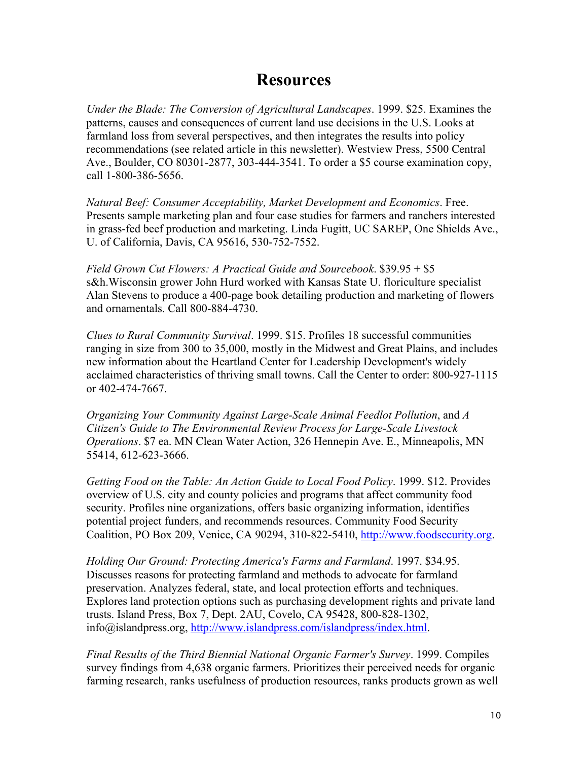## **Resources**

*Under the Blade: The Conversion of Agricultural Landscapes*. 1999. \$25. Examines the patterns, causes and consequences of current land use decisions in the U.S. Looks at farmland loss from several perspectives, and then integrates the results into policy recommendations (see related article in this newsletter). Westview Press, 5500 Central Ave., Boulder, CO 80301-2877, 303-444-3541. To order a \$5 course examination copy, call 1-800-386-5656.

*Natural Beef: Consumer Acceptability, Market Development and Economics*. Free. Presents sample marketing plan and four case studies for farmers and ranchers interested in grass-fed beef production and marketing. Linda Fugitt, UC SAREP, One Shields Ave., U. of California, Davis, CA 95616, 530-752-7552.

*Field Grown Cut Flowers: A Practical Guide and Sourcebook*. \$39.95 + \$5 s&h.Wisconsin grower John Hurd worked with Kansas State U. floriculture specialist Alan Stevens to produce a 400-page book detailing production and marketing of flowers and ornamentals. Call 800-884-4730.

*Clues to Rural Community Survival*. 1999. \$15. Profiles 18 successful communities ranging in size from 300 to 35,000, mostly in the Midwest and Great Plains, and includes new information about the Heartland Center for Leadership Development's widely acclaimed characteristics of thriving small towns. Call the Center to order: 800-927-1115 or 402-474-7667.

*Organizing Your Community Against Large-Scale Animal Feedlot Pollution*, and *A Citizen's Guide to The Environmental Review Process for Large-Scale Livestock Operations*. \$7 ea. MN Clean Water Action, 326 Hennepin Ave. E., Minneapolis, MN 55414, 612-623-3666.

*Getting Food on the Table: An Action Guide to Local Food Policy*. 1999. \$12. Provides overview of U.S. city and county policies and programs that affect community food security. Profiles nine organizations, offers basic organizing information, identifies potential project funders, and recommends resources. Community Food Security Coalition, PO Box 209, Venice, CA 90294, 310-822-5410, http://www.foodsecurity.org.

*Holding Our Ground: Protecting America's Farms and Farmland*. 1997. \$34.95. Discusses reasons for protecting farmland and methods to advocate for farmland preservation. Analyzes federal, state, and local protection efforts and techniques. Explores land protection options such as purchasing development rights and private land trusts. Island Press, Box 7, Dept. 2AU, Covelo, CA 95428, 800-828-1302, info@islandpress.org, http://www.islandpress.com/islandpress/index.html.

*Final Results of the Third Biennial National Organic Farmer's Survey*. 1999. Compiles survey findings from 4,638 organic farmers. Prioritizes their perceived needs for organic farming research, ranks usefulness of production resources, ranks products grown as well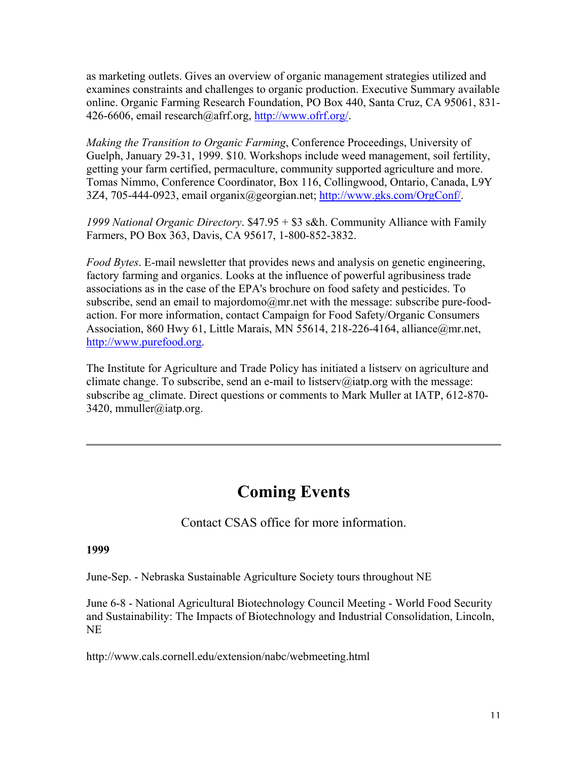as marketing outlets. Gives an overview of organic management strategies utilized and examines constraints and challenges to organic production. Executive Summary available online. Organic Farming Research Foundation, PO Box 440, Santa Cruz, CA 95061, 831- 426-6606, email research@afrf.org, http://www.ofrf.org/.

*Making the Transition to Organic Farming*, Conference Proceedings, University of Guelph, January 29-31, 1999. \$10. Workshops include weed management, soil fertility, getting your farm certified, permaculture, community supported agriculture and more. Tomas Nimmo, Conference Coordinator, Box 116, Collingwood, Ontario, Canada, L9Y 3Z4, 705-444-0923, email organix@georgian.net; http://www.gks.com/OrgConf/.

*1999 National Organic Directory*. \$47.95 + \$3 s&h. Community Alliance with Family Farmers, PO Box 363, Davis, CA 95617, 1-800-852-3832.

*Food Bytes*. E-mail newsletter that provides news and analysis on genetic engineering, factory farming and organics. Looks at the influence of powerful agribusiness trade associations as in the case of the EPA's brochure on food safety and pesticides. To subscribe, send an email to majordomo@mr.net with the message: subscribe pure-foodaction. For more information, contact Campaign for Food Safety/Organic Consumers Association, 860 Hwy 61, Little Marais, MN 55614, 218-226-4164, alliance@mr.net, http://www.purefood.org.

The Institute for Agriculture and Trade Policy has initiated a listserv on agriculture and climate change. To subscribe, send an e-mail to listserv@iatp.org with the message: subscribe ag\_climate. Direct questions or comments to Mark Muller at IATP, 612-870-3420, mmuller@iatp.org.

## **Coming Events**

Contact CSAS office for more information.

#### **1999**

June-Sep. - Nebraska Sustainable Agriculture Society tours throughout NE

June 6-8 - National Agricultural Biotechnology Council Meeting - World Food Security and Sustainability: The Impacts of Biotechnology and Industrial Consolidation, Lincoln, NE

http://www.cals.cornell.edu/extension/nabc/webmeeting.html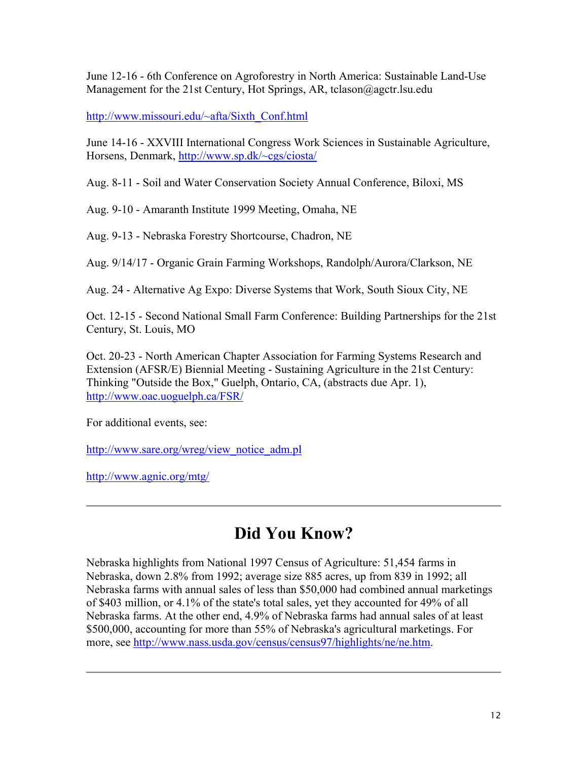June 12-16 - 6th Conference on Agroforestry in North America: Sustainable Land-Use Management for the 21st Century, Hot Springs, AR, tclason@agctr.lsu.edu

http://www.missouri.edu/~afta/Sixth\_Conf.html

June 14-16 - XXVIII International Congress Work Sciences in Sustainable Agriculture, Horsens, Denmark, http://www.sp.dk/~cgs/ciosta/

Aug. 8-11 - Soil and Water Conservation Society Annual Conference, Biloxi, MS

Aug. 9-10 - Amaranth Institute 1999 Meeting, Omaha, NE

Aug. 9-13 - Nebraska Forestry Shortcourse, Chadron, NE

Aug. 9/14/17 - Organic Grain Farming Workshops, Randolph/Aurora/Clarkson, NE

Aug. 24 - Alternative Ag Expo: Diverse Systems that Work, South Sioux City, NE

Oct. 12-15 - Second National Small Farm Conference: Building Partnerships for the 21st Century, St. Louis, MO

Oct. 20-23 - North American Chapter Association for Farming Systems Research and Extension (AFSR/E) Biennial Meeting - Sustaining Agriculture in the 21st Century: Thinking "Outside the Box," Guelph, Ontario, CA, (abstracts due Apr. 1), http://www.oac.uoguelph.ca/FSR/

For additional events, see:

http://www.sare.org/wreg/view\_notice\_adm.pl

http://www.agnic.org/mtg/

## **Did You Know?**

Nebraska highlights from National 1997 Census of Agriculture: 51,454 farms in Nebraska, down 2.8% from 1992; average size 885 acres, up from 839 in 1992; all Nebraska farms with annual sales of less than \$50,000 had combined annual marketings of \$403 million, or 4.1% of the state's total sales, yet they accounted for 49% of all Nebraska farms. At the other end, 4.9% of Nebraska farms had annual sales of at least \$500,000, accounting for more than 55% of Nebraska's agricultural marketings. For more, see http://www.nass.usda.gov/census/census97/highlights/ne/ne.htm.